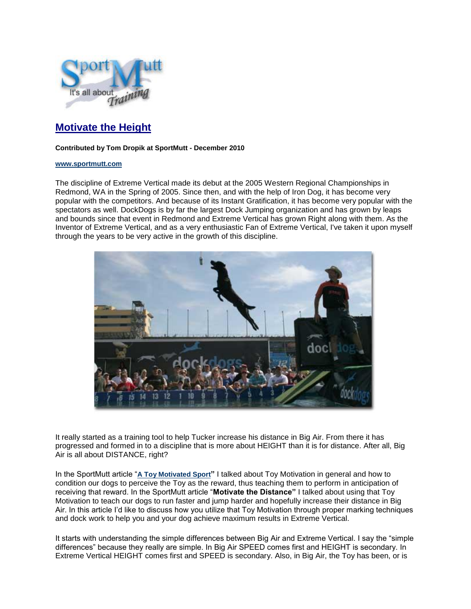

## **Motivate the Height**

## **Contributed by Tom Dropik at SportMutt - December 2010**

## **[www.sportmutt.com](file:///C:/Users/Brenda/Documents/My%20Webs/4petswithstyle/sportmutt/index.htm)**

The discipline of Extreme Vertical made its debut at the 2005 Western Regional Championships in Redmond, WA in the Spring of 2005. Since then, and with the help of Iron Dog, it has become very popular with the competitors. And because of its Instant Gratification, it has become very popular with the spectators as well. DockDogs is by far the largest Dock Jumping organization and has grown by leaps and bounds since that event in Redmond and Extreme Vertical has grown Right along with them. As the Inventor of Extreme Vertical, and as a very enthusiastic Fan of Extreme Vertical, I've taken it upon myself through the years to be very active in the growth of this discipline.



It really started as a training tool to help Tucker increase his distance in Big Air. From there it has progressed and formed in to a discipline that is more about HEIGHT than it is for distance. After all, Big Air is all about DISTANCE, right?

In the SportMutt article "**[A Toy Motivated Sport](file:///C:/Users/Brenda/Documents/My%20Webs/4petswithstyle/sportmutt/training/toymotivatedsport.htm)"** I talked about Toy Motivation in general and how to condition our dogs to perceive the Toy as the reward, thus teaching them to perform in anticipation of receiving that reward. In the SportMutt article "**Motivate the Distance"** I talked about using that Toy Motivation to teach our dogs to run faster and jump harder and hopefully increase their distance in Big Air. In this article I'd like to discuss how you utilize that Toy Motivation through proper marking techniques and dock work to help you and your dog achieve maximum results in Extreme Vertical.

It starts with understanding the simple differences between Big Air and Extreme Vertical. I say the "simple differences" because they really are simple. In Big Air SPEED comes first and HEIGHT is secondary. In Extreme Vertical HEIGHT comes first and SPEED is secondary. Also, in Big Air, the Toy has been, or is